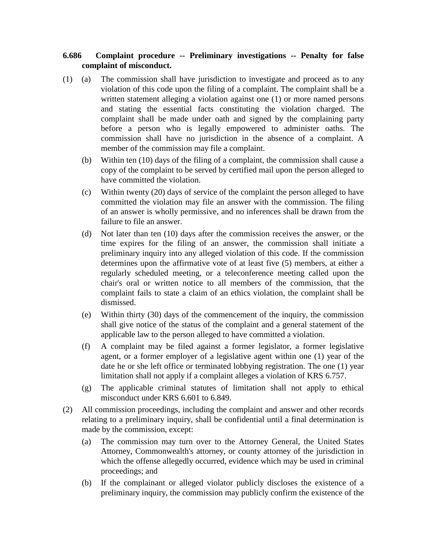## **6.686 Complaint procedure -- Preliminary investigations -- Penalty for false complaint of misconduct.**

- (1) (a) The commission shall have jurisdiction to investigate and proceed as to any violation of this code upon the filing of a complaint. The complaint shall be a written statement alleging a violation against one (1) or more named persons and stating the essential facts constituting the violation charged. The complaint shall be made under oath and signed by the complaining party before a person who is legally empowered to administer oaths. The commission shall have no jurisdiction in the absence of a complaint. A member of the commission may file a complaint.
	- (b) Within ten (10) days of the filing of a complaint, the commission shall cause a copy of the complaint to be served by certified mail upon the person alleged to have committed the violation.
	- (c) Within twenty (20) days of service of the complaint the person alleged to have committed the violation may file an answer with the commission. The filing of an answer is wholly permissive, and no inferences shall be drawn from the failure to file an answer.
	- (d) Not later than ten (10) days after the commission receives the answer, or the time expires for the filing of an answer, the commission shall initiate a preliminary inquiry into any alleged violation of this code. If the commission determines upon the affirmative vote of at least five (5) members, at either a regularly scheduled meeting, or a teleconference meeting called upon the chair's oral or written notice to all members of the commission, that the complaint fails to state a claim of an ethics violation, the complaint shall be dismissed.
	- (e) Within thirty (30) days of the commencement of the inquiry, the commission shall give notice of the status of the complaint and a general statement of the applicable law to the person alleged to have committed a violation.
	- (f) A complaint may be filed against a former legislator, a former legislative agent, or a former employer of a legislative agent within one (1) year of the date he or she left office or terminated lobbying registration. The one (1) year limitation shall not apply if a complaint alleges a violation of KRS 6.757.
	- (g) The applicable criminal statutes of limitation shall not apply to ethical misconduct under KRS 6.601 to 6.849.
- (2) All commission proceedings, including the complaint and answer and other records relating to a preliminary inquiry, shall be confidential until a final determination is made by the commission, except:
	- (a) The commission may turn over to the Attorney General, the United States Attorney, Commonwealth's attorney, or county attorney of the jurisdiction in which the offense allegedly occurred, evidence which may be used in criminal proceedings; and
	- (b) If the complainant or alleged violator publicly discloses the existence of a preliminary inquiry, the commission may publicly confirm the existence of the